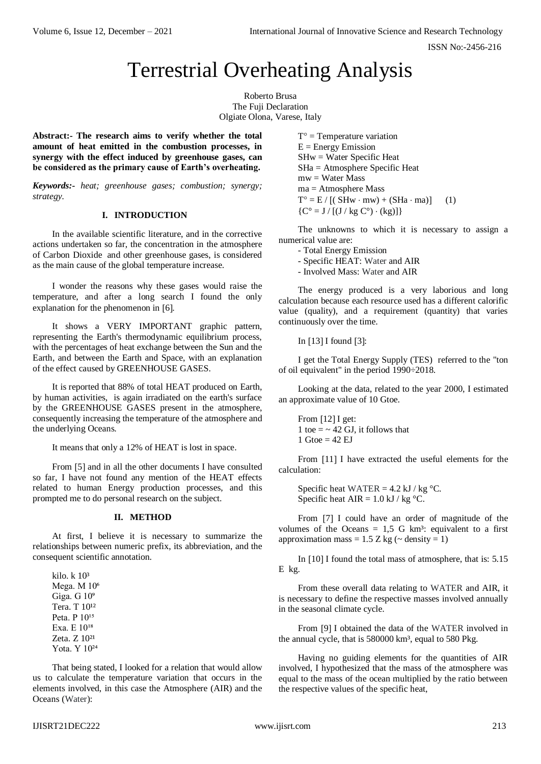# Terrestrial Overheating Analysis

Roberto Brusa The Fuji Declaration Olgiate Olona, Varese, Italy

**Abstract:- The research aims to verify whether the total amount of heat emitted in the combustion processes, in synergy with the effect induced by greenhouse gases, can be considered as the primary cause of Earth's overheating.**

*Keywords:- heat; greenhouse gases; combustion; synergy; strategy.*

## **I. INTRODUCTION**

In the available scientific literature, and in the corrective actions undertaken so far, the concentration in the atmosphere of Carbon Dioxide and other greenhouse gases, is considered as the main cause of the global temperature increase.

I wonder the reasons why these gases would raise the temperature, and after a long search I found the only explanation for the phenomenon in [6].

It shows a VERY IMPORTANT graphic pattern, representing the Earth's thermodynamic equilibrium process, with the percentages of heat exchange between the Sun and the Earth, and between the Earth and Space, with an explanation of the effect caused by GREENHOUSE GASES.

It is reported that 88% of total HEAT produced on Earth, by human activities, is again irradiated on the earth's surface by the GREENHOUSE GASES present in the atmosphere, consequently increasing the temperature of the atmosphere and the underlying Oceans.

It means that only a 12% of HEAT is lost in space.

From [5] and in all the other documents I have consulted so far, I have not found any mention of the HEAT effects related to human Energy production processes, and this prompted me to do personal research on the subject.

## **II. METHOD**

At first, I believe it is necessary to summarize the relationships between numeric prefix, its abbreviation, and the consequent scientific annotation.

kilo. k 10³ Mega.  $M 10<sup>6</sup>$ Giga. G  $10<sup>9</sup>$ Tera. T 10<sup>12</sup> Peta. P 10<sup>15</sup> Exa. E 10<sup>18</sup> Zeta. Z 10<sup>21</sup> Yota. Y 10<sup>24</sup>

That being stated, I looked for a relation that would allow us to calculate the temperature variation that occurs in the elements involved, in this case the Atmosphere (AIR) and the Oceans (Water):

 $T^{\circ}$  = Temperature variation  $E =$  Energy Emission SHw = Water Specific Heat SHa = Atmosphere Specific Heat  $mw = Water Mass$  $ma =$ Atmosphere Mass  $T^{\circ} = E / [(SHw \cdot mw) + (SHA \cdot ma)]$  (1)  ${C^{\circ} = J / [(J / kg C^{\circ}) \cdot (kg)] }$ 

The unknowns to which it is necessary to assign a numerical value are:

- Total Energy Emission
- Specific HEAT: Water and AIR
- Involved Mass: Water and AIR

The energy produced is a very laborious and long calculation because each resource used has a different calorific value (quality), and a requirement (quantity) that varies continuously over the time.

In  $[13]$  I found  $[3]$ :

I get the Total Energy Supply (TES) referred to the "ton of oil equivalent" in the period 1990÷2018.

Looking at the data, related to the year 2000, I estimated an approximate value of 10 Gtoe.

From  $[12]$  I get: 1 toe  $=$  ~ 42 GJ, it follows that  $1$  Gtoe = 42 EJ

From [11] I have extracted the useful elements for the calculation:

Specific heat WATER =  $4.2$  kJ / kg °C. Specific heat  $AIR = 1.0$  kJ / kg °C.

From [7] I could have an order of magnitude of the volumes of the Oceans  $= 1.5$  G km<sup>3</sup>: equivalent to a first approximation mass =  $1.5$  Z kg ( $\sim$  density = 1)

In [10] I found the total mass of atmosphere, that is: 5.15 E kg.

From these overall data relating to WATER and AIR, it is necessary to define the respective masses involved annually in the seasonal climate cycle.

From [9] I obtained the data of the WATER involved in the annual cycle, that is 580000 km<sup>3</sup>, equal to 580 Pkg.

Having no guiding elements for the quantities of AIR involved, I hypothesized that the mass of the atmosphere was equal to the mass of the ocean multiplied by the ratio between the respective values of the specific heat,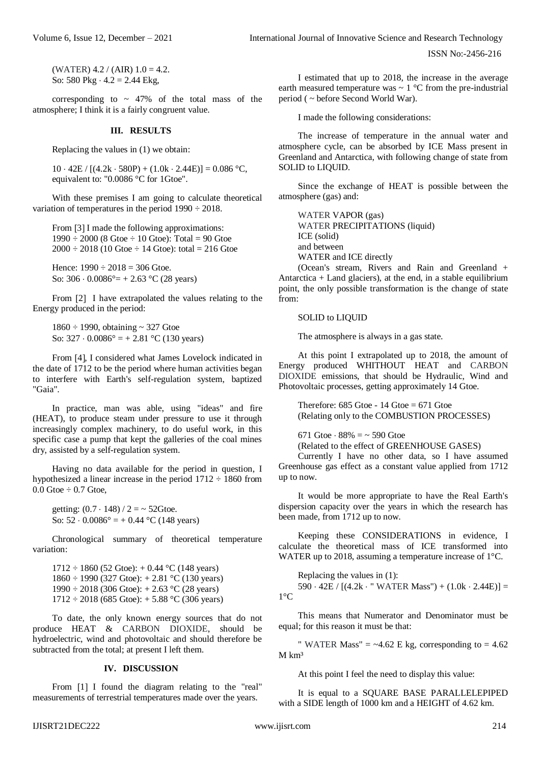ISSN No:-2456-216

(WATER)  $4.2 / (AIR)$   $1.0 = 4.2$ . So: 580 Pkg  $\cdot$  4.2 = 2.44 Ekg,

corresponding to  $\sim$  47% of the total mass of the atmosphere; I think it is a fairly congruent value.

#### **III. RESULTS**

Replacing the values in (1) we obtain:

 $10 \cdot 42E / [(4.2k \cdot 580P) + (1.0k \cdot 2.44E)] = 0.086 °C$ equivalent to: "0.0086 °C for 1Gtoe".

With these premises I am going to calculate theoretical variation of temperatures in the period 1990 ÷ 2018.

From [3] I made the following approximations:  $1990 \div 2000$  (8 Gtoe  $\div 10$  Gtoe): Total = 90 Gtoe  $2000 \div 2018$  (10 Gtoe  $\div$  14 Gtoe): total = 216 Gtoe

Hence:  $1990 \div 2018 = 306$  Gtoe. So:  $306 \cdot 0.0086^{\circ} = +2.63 \,^{\circ}C(28 \text{ years})$ 

From [2] I have extrapolated the values relating to the Energy produced in the period:

1860 ÷ 1990, obtaining ~ 327 Gtoe So:  $327 \cdot 0.0086^\circ = +2.81 \,^{\circ}\text{C}$  (130 years)

From [4], I considered what James Lovelock indicated in the date of 1712 to be the period where human activities began to interfere with Earth's self-regulation system, baptized "Gaia".

In practice, man was able, using "ideas" and fire (HEAT), to produce steam under pressure to use it through increasingly complex machinery, to do useful work, in this specific case a pump that kept the galleries of the coal mines dry, assisted by a self-regulation system.

Having no data available for the period in question, I hypothesized a linear increase in the period  $1712 \div 1860$  from  $0.0$  Gtoe  $\div$  0.7 Gtoe,

getting:  $(0.7 \cdot 148) / 2 = -52$ Gtoe. So:  $52 \cdot 0.0086^\circ = +0.44 \,^{\circ}\text{C}$  (148 years)

Chronological summary of theoretical temperature variation:

 $1712 \div 1860$  (52 Gtoe): + 0.44 °C (148 years)  $1860 \div 1990$  (327 Gtoe):  $+ 2.81$  °C (130 years) 1990  $\div$  2018 (306 Gtoe): + 2.63 °C (28 years)  $1712 \div 2018$  (685 Gtoe):  $+ 5.88$  °C (306 years)

To date, the only known energy sources that do not produce HEAT & CARBON DIOXIDE, should be hydroelectric, wind and photovoltaic and should therefore be subtracted from the total; at present I left them.

#### **IV. DISCUSSION**

From [1] I found the diagram relating to the "real" measurements of terrestrial temperatures made over the years.

I estimated that up to 2018, the increase in the average earth measured temperature was  $\sim 1$  °C from the pre-industrial period ( ~ before Second World War).

I made the following considerations:

The increase of temperature in the annual water and atmosphere cycle, can be absorbed by ICE Mass present in Greenland and Antarctica, with following change of state from SOLID to LIQUID.

Since the exchange of HEAT is possible between the atmosphere (gas) and:

WATER VAPOR (gas) WATER PRECIPITATIONS (liquid) ICE (solid) and between WATER and ICE directly

(Ocean's stream, Rivers and Rain and Greenland + Antarctica  $+$  Land glaciers), at the end, in a stable equilibrium point, the only possible transformation is the change of state from:

## SOLID to LIQUID

The atmosphere is always in a gas state.

At this point I extrapolated up to 2018, the amount of Energy produced WHITHOUT HEAT and CARBON DIOXIDE emissions, that should be Hydraulic, Wind and Photovoltaic processes, getting approximately 14 Gtoe.

Therefore:  $685$  Gtoe -  $14$  Gtoe =  $671$  Gtoe (Relating only to the COMBUSTION PROCESSES)

671 Gtoe  $\cdot$  88% =  $\sim$  590 Gtoe

(Related to the effect of GREENHOUSE GASES)

Currently I have no other data, so I have assumed Greenhouse gas effect as a constant value applied from 1712 up to now.

It would be more appropriate to have the Real Earth's dispersion capacity over the years in which the research has been made, from 1712 up to now.

Keeping these CONSIDERATIONS in evidence, I calculate the theoretical mass of ICE transformed into WATER up to 2018, assuming a temperature increase of 1°C.

Replacing the values in (1):  $590 \cdot 42E / [(4.2k \cdot "WATER Mass") + (1.0k \cdot 2.44E)] =$  $1^{\circ}C$ 

This means that Numerator and Denominator must be equal; for this reason it must be that:

" WATER Mass"  $=$  ~4.62 E kg, corresponding to  $=$  4.62  $M \ km<sup>3</sup>$ 

At this point I feel the need to display this value:

It is equal to a SQUARE BASE PARALLELEPIPED with a SIDE length of 1000 km and a HEIGHT of 4.62 km.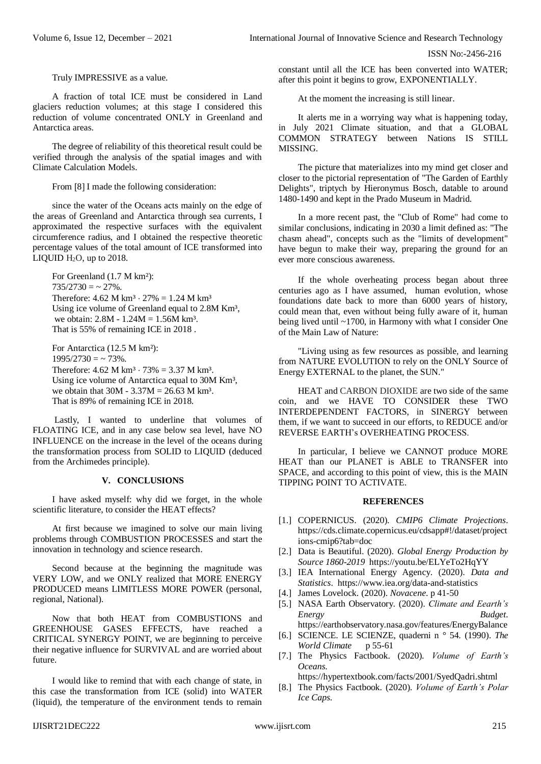ISSN No:-2456-216

Truly IMPRESSIVE as a value.

A fraction of total ICE must be considered in Land glaciers reduction volumes; at this stage I considered this reduction of volume concentrated ONLY in Greenland and Antarctica areas.

The degree of reliability of this theoretical result could be verified through the analysis of the spatial images and with Climate Calculation Models.

From [8] I made the following consideration:

since the water of the Oceans acts mainly on the edge of the areas of Greenland and Antarctica through sea currents, I approximated the respective surfaces with the equivalent circumference radius, and I obtained the respective theoretic percentage values of the total amount of ICE transformed into LIQUID  $H_2O$ , up to 2018.

For Greenland (1.7 M km²):  $735/2730 = -27\%$ . Therefore:  $4.62 \text{ M km}^3 \cdot 27\% = 1.24 \text{ M km}^3$ Using ice volume of Greenland equal to 2.8M Km<sup>3</sup>, we obtain: 2.8M - 1.24M = 1.56M km<sup>3</sup>. That is 55% of remaining ICE in 2018 .

For Antarctica (12.5 M km²):  $1995/2730 = -73\%$ . Therefore:  $4.62 \text{ M km}^3 \cdot 73\% = 3.37 \text{ M km}^3$ . Using ice volume of Antarctica equal to 30M Km<sup>3</sup>, we obtain that  $30M - 3.37M = 26.63 M km^3$ . That is 89% of remaining ICE in 2018.

Lastly, I wanted to underline that volumes of FLOATING ICE, and in any case below sea level, have NO INFLUENCE on the increase in the level of the oceans during the transformation process from SOLID to LIQUID (deduced from the Archimedes principle).

## **V. CONCLUSIONS**

I have asked myself: why did we forget, in the whole scientific literature, to consider the HEAT effects?

At first because we imagined to solve our main living problems through COMBUSTION PROCESSES and start the innovation in technology and science research.

Second because at the beginning the magnitude was VERY LOW, and we ONLY realized that MORE ENERGY PRODUCED means LIMITLESS MORE POWER (personal, regional, National).

Now that both HEAT from COMBUSTIONS and GREENHOUSE GASES EFFECTS, have reached a CRITICAL SYNERGY POINT, we are beginning to perceive their negative influence for SURVIVAL and are worried about future.

I would like to remind that with each change of state, in this case the transformation from ICE (solid) into WATER (liquid), the temperature of the environment tends to remain constant until all the ICE has been converted into WATER; after this point it begins to grow, EXPONENTIALLY.

At the moment the increasing is still linear.

It alerts me in a worrying way what is happening today, in July 2021 Climate situation, and that a GLOBAL COMMON STRATEGY between Nations IS STILL **MISSING** 

The picture that materializes into my mind get closer and closer to the pictorial representation of "The Garden of Earthly Delights", triptych by Hieronymus Bosch, datable to around 1480-1490 and kept in the Prado Museum in Madrid.

In a more recent past, the "Club of Rome" had come to similar conclusions, indicating in 2030 a limit defined as: "The chasm ahead", concepts such as the "limits of development" have begun to make their way, preparing the ground for an ever more conscious awareness.

If the whole overheating process began about three centuries ago as I have assumed, human evolution, whose foundations date back to more than 6000 years of history, could mean that, even without being fully aware of it, human being lived until ~1700, in Harmony with what I consider One of the Main Law of Nature:

"Living using as few resources as possible, and learning from NATURE EVOLUTION to rely on the ONLY Source of Energy EXTERNAL to the planet, the SUN."

HEAT and CARBON DIOXIDE are two side of the same coin, and we HAVE TO CONSIDER these TWO INTERDEPENDENT FACTORS, in SINERGY between them, if we want to succeed in our efforts, to REDUCE and/or REVERSE EARTH's OVERHEATING PROCESS.

In particular, I believe we CANNOT produce MORE HEAT than our PLANET is ABLE to TRANSFER into SPACE, and according to this point of view, this is the MAIN TIPPING POINT TO ACTIVATE.

### **REFERENCES**

- [1.] COPERNICUS. (2020). *CMIP6 Climate Projections*. [https://cds.climate.copernicus.eu/cdsapp#!/dataset/project](https://cds.climate.copernicus.eu/cdsapp#!/dataset/projections-cmip6?tab=doc) [ions-cmip6?tab=doc](https://cds.climate.copernicus.eu/cdsapp#!/dataset/projections-cmip6?tab=doc)
- [2.] Data is Beautiful. (2020). *Global Energy Production by Source 1860-2019*<https://youtu.be/ELYeTo2HqYY>
- [3.] IEA International Energy Agency. (2020). *Data and Statistics*.<https://www.iea.org/data-and-statistics>
- [4.] James Lovelock. (2020). *Novacene*. p 41-50
- [5.] NASA Earth Observatory. (2020). *Climate and Eearth's Energy Budget*. <https://earthobservatory.nasa.gov/features/EnergyBalance>
- [6.] SCIENCE. LE SCIENZE, quaderni n ° 54. (1990). *The World Climate* p 55-61
- [7.] The Physics Factbook. (2020). *Volume of Earth's Oceans*.

<https://hypertextbook.com/facts/2001/SyedQadri.shtml>

[8.] The Physics Factbook. (2020). *Volume of Earth's Polar Ice Caps*.